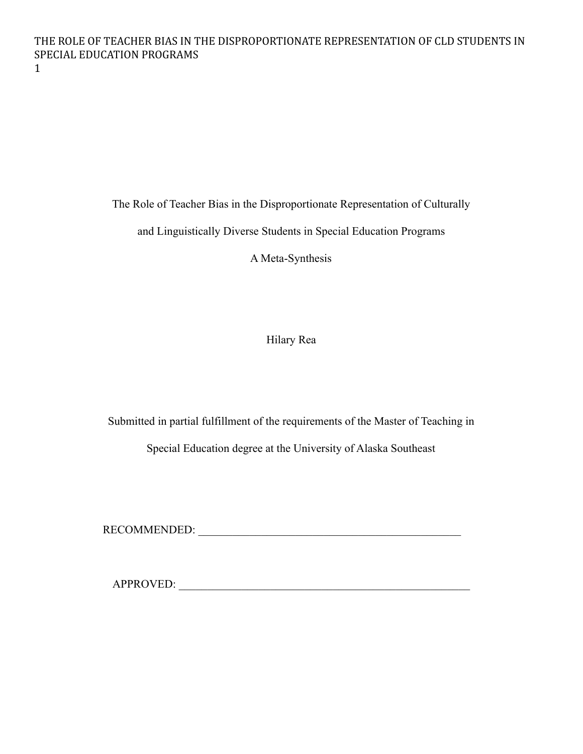The Role of Teacher Bias in the Disproportionate Representation of Culturally

and Linguistically Diverse Students in Special Education Programs

A Meta-Synthesis

Hilary Rea

Submitted in partial fulfillment of the requirements of the Master of Teaching in

Special Education degree at the University of Alaska Southeast

RECOMMENDED: \_\_\_\_\_\_\_\_\_\_\_\_\_\_\_\_\_\_\_\_\_\_\_\_\_\_\_\_\_\_\_\_\_\_\_\_\_\_\_\_\_\_\_\_\_\_

APPROVED: \_\_\_\_\_\_\_\_\_\_\_\_\_\_\_\_\_\_\_\_\_\_\_\_\_\_\_\_\_\_\_\_\_\_\_\_\_\_\_\_\_\_\_\_\_\_\_\_\_\_\_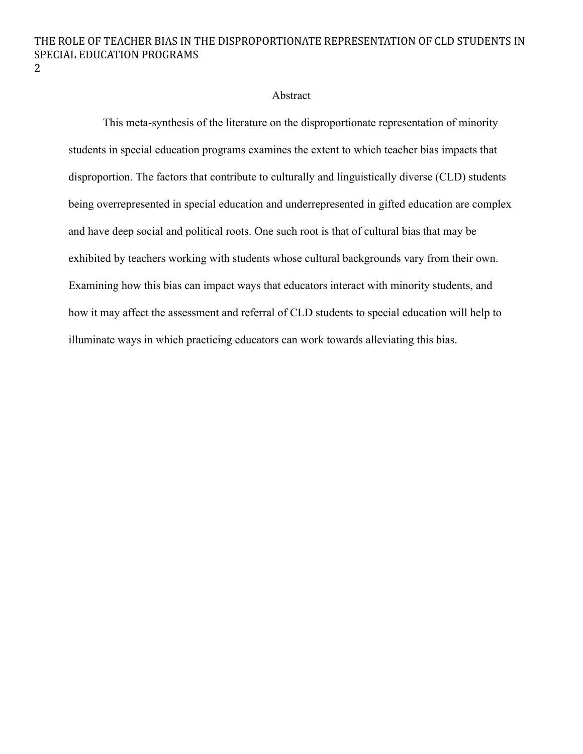#### Abstract

This meta-synthesis of the literature on the disproportionate representation of minority students in special education programs examines the extent to which teacher bias impacts that disproportion. The factors that contribute to culturally and linguistically diverse (CLD) students being overrepresented in special education and underrepresented in gifted education are complex and have deep social and political roots. One such root is that of cultural bias that may be exhibited by teachers working with students whose cultural backgrounds vary from their own. Examining how this bias can impact ways that educators interact with minority students, and how it may affect the assessment and referral of CLD students to special education will help to illuminate ways in which practicing educators can work towards alleviating this bias.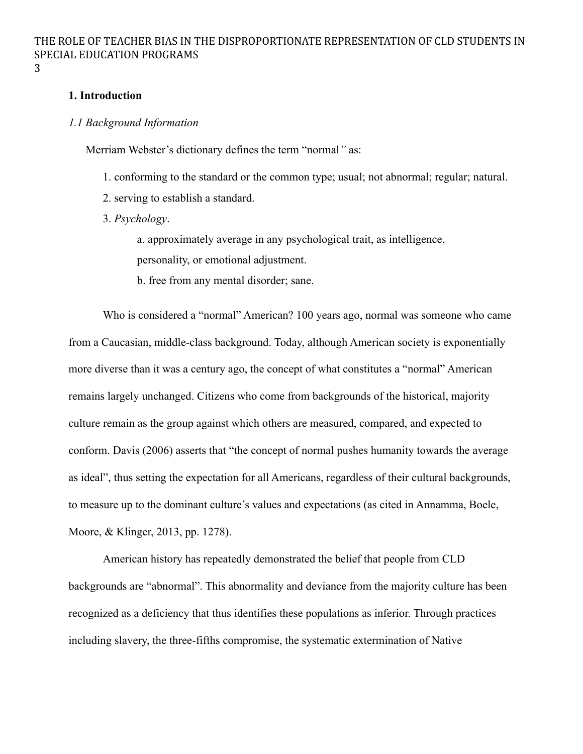3

### **1. Introduction**

### *1.1 Background Information*

Merriam Webster's dictionary defines the term "normal*"* as:

- 1. conforming to the standard or the common type; usual; not abnormal; regular; natural.
- 2. serving to establish a standard.
- 3. *Psychology*.

a. approximately average in any psychological trait, as intelligence, personality, or emotional adjustment.

b. free from any mental disorder; sane.

Who is considered a "normal" American? 100 years ago, normal was someone who came from a Caucasian, middle-class background. Today, although American society is exponentially more diverse than it was a century ago, the concept of what constitutes a "normal" American remains largely unchanged. Citizens who come from backgrounds of the historical, majority culture remain as the group against which others are measured, compared, and expected to conform. Davis (2006) asserts that "the concept of normal pushes humanity towards the average as ideal", thus setting the expectation for all Americans, regardless of their cultural backgrounds, to measure up to the dominant culture's values and expectations (as cited in Annamma, Boele, Moore, & Klinger, 2013, pp. 1278).

American history has repeatedly demonstrated the belief that people from CLD backgrounds are "abnormal". This abnormality and deviance from the majority culture has been recognized as a deficiency that thus identifies these populations as inferior. Through practices including slavery, the three-fifths compromise, the systematic extermination of Native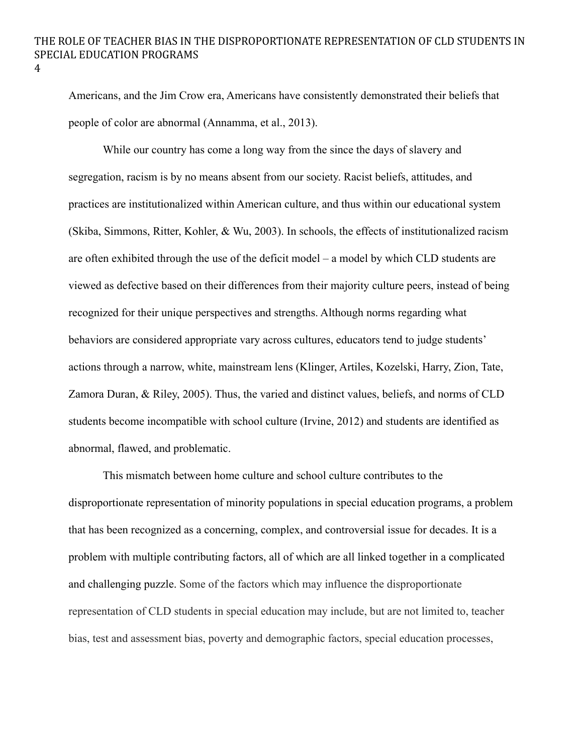Americans, and the Jim Crow era, Americans have consistently demonstrated their beliefs that people of color are abnormal (Annamma, et al., 2013).

While our country has come a long way from the since the days of slavery and segregation, racism is by no means absent from our society. Racist beliefs, attitudes, and practices are institutionalized within American culture, and thus within our educational system (Skiba, Simmons, Ritter, Kohler, & Wu, 2003). In schools, the effects of institutionalized racism are often exhibited through the use of the deficit model – a model by which CLD students are viewed as defective based on their differences from their majority culture peers, instead of being recognized for their unique perspectives and strengths. Although norms regarding what behaviors are considered appropriate vary across cultures, educators tend to judge students' actions through a narrow, white, mainstream lens (Klinger, Artiles, Kozelski, Harry, Zion, Tate, Zamora Duran, & Riley, 2005). Thus, the varied and distinct values, beliefs, and norms of CLD students become incompatible with school culture (Irvine, 2012) and students are identified as abnormal, flawed, and problematic.

This mismatch between home culture and school culture contributes to the disproportionate representation of minority populations in special education programs, a problem that has been recognized as a concerning, complex, and controversial issue for decades. It is a problem with multiple contributing factors, all of which are all linked together in a complicated and challenging puzzle. Some of the factors which may influence the disproportionate representation of CLD students in special education may include, but are not limited to, teacher bias, test and assessment bias, poverty and demographic factors, special education processes,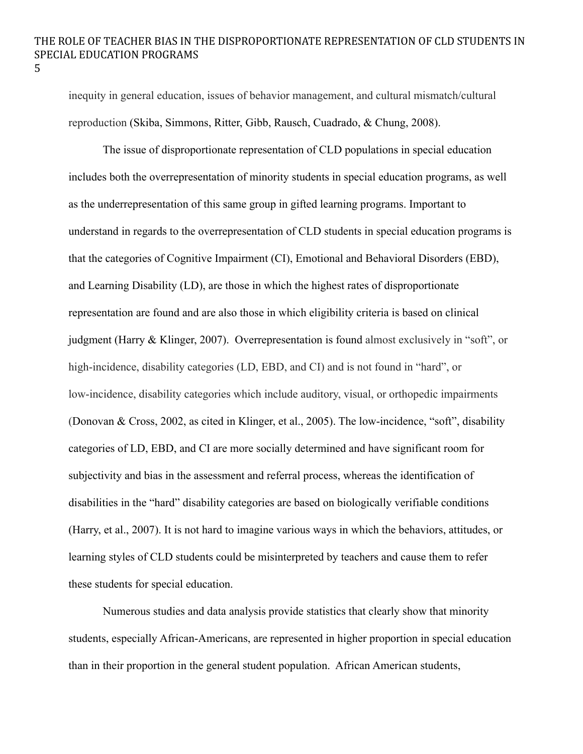inequity in general education, issues of behavior management, and cultural mismatch/cultural reproduction (Skiba, Simmons, Ritter, Gibb, Rausch, Cuadrado, & Chung, 2008).

The issue of disproportionate representation of CLD populations in special education includes both the overrepresentation of minority students in special education programs, as well as the underrepresentation of this same group in gifted learning programs. Important to understand in regards to the overrepresentation of CLD students in special education programs is that the categories of Cognitive Impairment (CI), Emotional and Behavioral Disorders (EBD), and Learning Disability (LD), are those in which the highest rates of disproportionate representation are found and are also those in which eligibility criteria is based on clinical judgment (Harry & Klinger, 2007). Overrepresentation is found almost exclusively in "soft", or high-incidence, disability categories (LD, EBD, and CI) and is not found in "hard", or low-incidence, disability categories which include auditory, visual, or orthopedic impairments (Donovan & Cross, 2002, as cited in Klinger, et al., 2005). The low-incidence, "soft", disability categories of LD, EBD, and CI are more socially determined and have significant room for subjectivity and bias in the assessment and referral process, whereas the identification of disabilities in the "hard" disability categories are based on biologically verifiable conditions (Harry, et al., 2007). It is not hard to imagine various ways in which the behaviors, attitudes, or learning styles of CLD students could be misinterpreted by teachers and cause them to refer these students for special education.

Numerous studies and data analysis provide statistics that clearly show that minority students, especially African-Americans, are represented in higher proportion in special education than in their proportion in the general student population. African American students,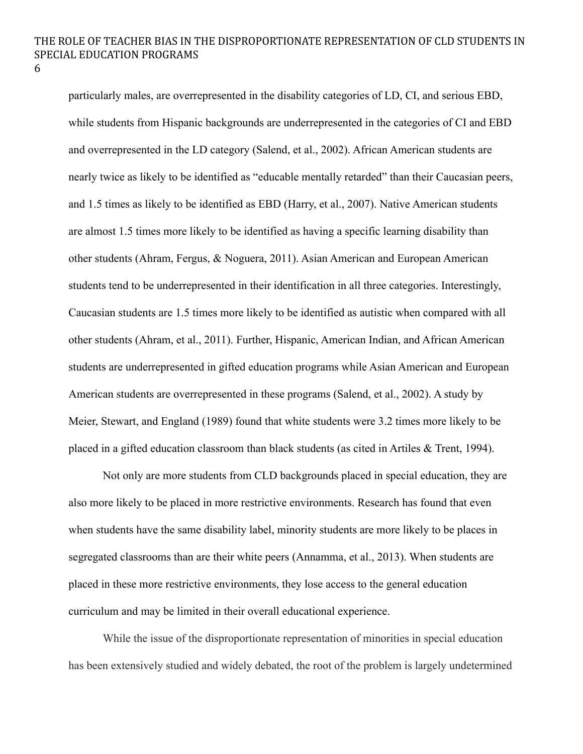6

particularly males, are overrepresented in the disability categories of LD, CI, and serious EBD, while students from Hispanic backgrounds are underrepresented in the categories of CI and EBD and overrepresented in the LD category (Salend, et al., 2002). African American students are nearly twice as likely to be identified as "educable mentally retarded" than their Caucasian peers, and 1.5 times as likely to be identified as EBD (Harry, et al., 2007). Native American students are almost 1.5 times more likely to be identified as having a specific learning disability than other students (Ahram, Fergus, & Noguera, 2011). Asian American and European American students tend to be underrepresented in their identification in all three categories. Interestingly, Caucasian students are 1.5 times more likely to be identified as autistic when compared with all other students (Ahram, et al., 2011). Further, Hispanic, American Indian, and African American students are underrepresented in gifted education programs while Asian American and European American students are overrepresented in these programs (Salend, et al., 2002). A study by Meier, Stewart, and England (1989) found that white students were 3.2 times more likely to be placed in a gifted education classroom than black students (as cited in Artiles & Trent, 1994).

Not only are more students from CLD backgrounds placed in special education, they are also more likely to be placed in more restrictive environments. Research has found that even when students have the same disability label, minority students are more likely to be places in segregated classrooms than are their white peers (Annamma, et al., 2013). When students are placed in these more restrictive environments, they lose access to the general education curriculum and may be limited in their overall educational experience.

While the issue of the disproportionate representation of minorities in special education has been extensively studied and widely debated, the root of the problem is largely undetermined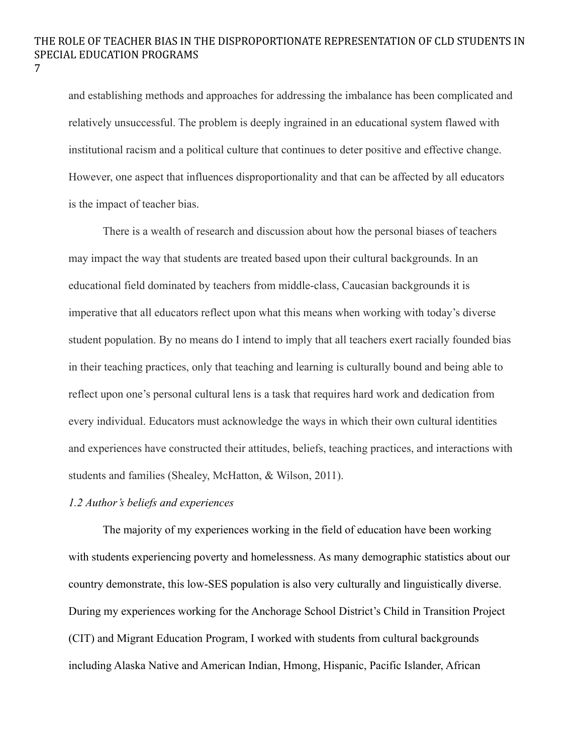and establishing methods and approaches for addressing the imbalance has been complicated and relatively unsuccessful. The problem is deeply ingrained in an educational system flawed with institutional racism and a political culture that continues to deter positive and effective change. However, one aspect that influences disproportionality and that can be affected by all educators is the impact of teacher bias.

There is a wealth of research and discussion about how the personal biases of teachers may impact the way that students are treated based upon their cultural backgrounds. In an educational field dominated by teachers from middle-class, Caucasian backgrounds it is imperative that all educators reflect upon what this means when working with today's diverse student population. By no means do I intend to imply that all teachers exert racially founded bias in their teaching practices, only that teaching and learning is culturally bound and being able to reflect upon one's personal cultural lens is a task that requires hard work and dedication from every individual. Educators must acknowledge the ways in which their own cultural identities and experiences have constructed their attitudes, beliefs, teaching practices, and interactions with students and families (Shealey, McHatton, & Wilson, 2011).

## *1.2 Author's beliefs and experiences*

The majority of my experiences working in the field of education have been working with students experiencing poverty and homelessness. As many demographic statistics about our country demonstrate, this low-SES population is also very culturally and linguistically diverse. During my experiences working for the Anchorage School District's Child in Transition Project (CIT) and Migrant Education Program, I worked with students from cultural backgrounds including Alaska Native and American Indian, Hmong, Hispanic, Pacific Islander, African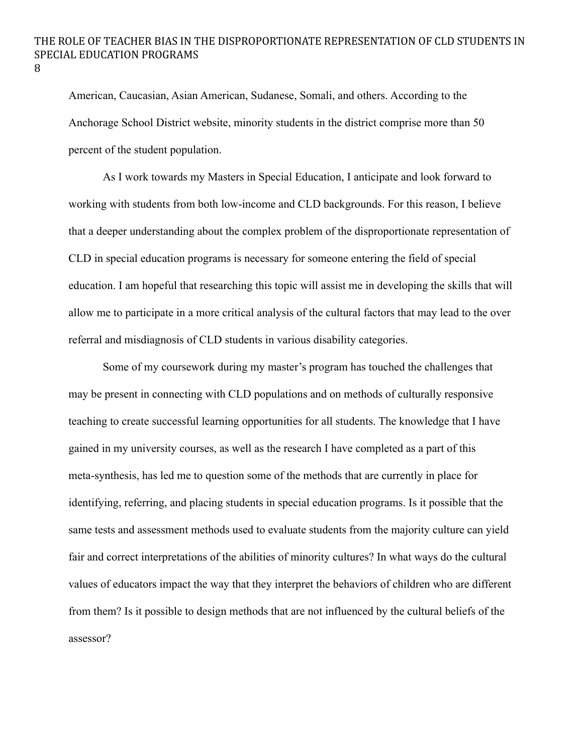American, Caucasian, Asian American, Sudanese, Somali, and others. According to the Anchorage School District website, minority students in the district comprise more than 50 percent of the student population.

As I work towards my Masters in Special Education, I anticipate and look forward to working with students from both low-income and CLD backgrounds. For this reason, I believe that a deeper understanding about the complex problem of the disproportionate representation of CLD in special education programs is necessary for someone entering the field of special education. I am hopeful that researching this topic will assist me in developing the skills that will allow me to participate in a more critical analysis of the cultural factors that may lead to the over referral and misdiagnosis of CLD students in various disability categories.

Some of my coursework during my master's program has touched the challenges that may be present in connecting with CLD populations and on methods of culturally responsive teaching to create successful learning opportunities for all students. The knowledge that I have gained in my university courses, as well as the research I have completed as a part of this meta-synthesis, has led me to question some of the methods that are currently in place for identifying, referring, and placing students in special education programs. Is it possible that the same tests and assessment methods used to evaluate students from the majority culture can yield fair and correct interpretations of the abilities of minority cultures? In what ways do the cultural values of educators impact the way that they interpret the behaviors of children who are different from them? Is it possible to design methods that are not influenced by the cultural beliefs of the assessor?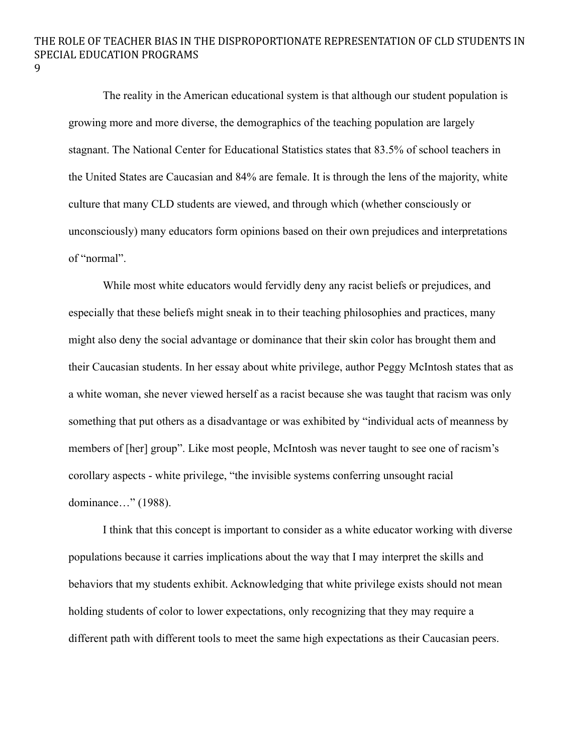9

The reality in the American educational system is that although our student population is growing more and more diverse, the demographics of the teaching population are largely stagnant. The National Center for Educational Statistics states that 83.5% of school teachers in the United States are Caucasian and 84% are female. It is through the lens of the majority, white culture that many CLD students are viewed, and through which (whether consciously or unconsciously) many educators form opinions based on their own prejudices and interpretations of "normal".

While most white educators would fervidly deny any racist beliefs or prejudices, and especially that these beliefs might sneak in to their teaching philosophies and practices, many might also deny the social advantage or dominance that their skin color has brought them and their Caucasian students. In her essay about white privilege, author Peggy McIntosh states that as a white woman, she never viewed herself as a racist because she was taught that racism was only something that put others as a disadvantage or was exhibited by "individual acts of meanness by members of [her] group". Like most people, McIntosh was never taught to see one of racism's corollary aspects - white privilege, "the invisible systems conferring unsought racial dominance…" (1988).

I think that this concept is important to consider as a white educator working with diverse populations because it carries implications about the way that I may interpret the skills and behaviors that my students exhibit. Acknowledging that white privilege exists should not mean holding students of color to lower expectations, only recognizing that they may require a different path with different tools to meet the same high expectations as their Caucasian peers.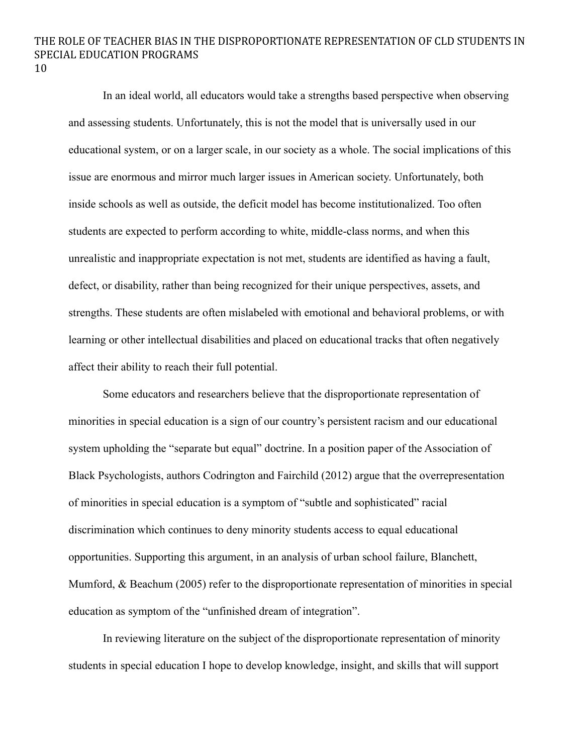10

In an ideal world, all educators would take a strengths based perspective when observing and assessing students. Unfortunately, this is not the model that is universally used in our educational system, or on a larger scale, in our society as a whole. The social implications of this issue are enormous and mirror much larger issues in American society. Unfortunately, both inside schools as well as outside, the deficit model has become institutionalized. Too often students are expected to perform according to white, middle-class norms, and when this unrealistic and inappropriate expectation is not met, students are identified as having a fault, defect, or disability, rather than being recognized for their unique perspectives, assets, and strengths. These students are often mislabeled with emotional and behavioral problems, or with learning or other intellectual disabilities and placed on educational tracks that often negatively affect their ability to reach their full potential.

Some educators and researchers believe that the disproportionate representation of minorities in special education is a sign of our country's persistent racism and our educational system upholding the "separate but equal" doctrine. In a position paper of the Association of Black Psychologists, authors Codrington and Fairchild (2012) argue that the overrepresentation of minorities in special education is a symptom of "subtle and sophisticated" racial discrimination which continues to deny minority students access to equal educational opportunities. Supporting this argument, in an analysis of urban school failure, Blanchett, Mumford, & Beachum (2005) refer to the disproportionate representation of minorities in special education as symptom of the "unfinished dream of integration".

In reviewing literature on the subject of the disproportionate representation of minority students in special education I hope to develop knowledge, insight, and skills that will support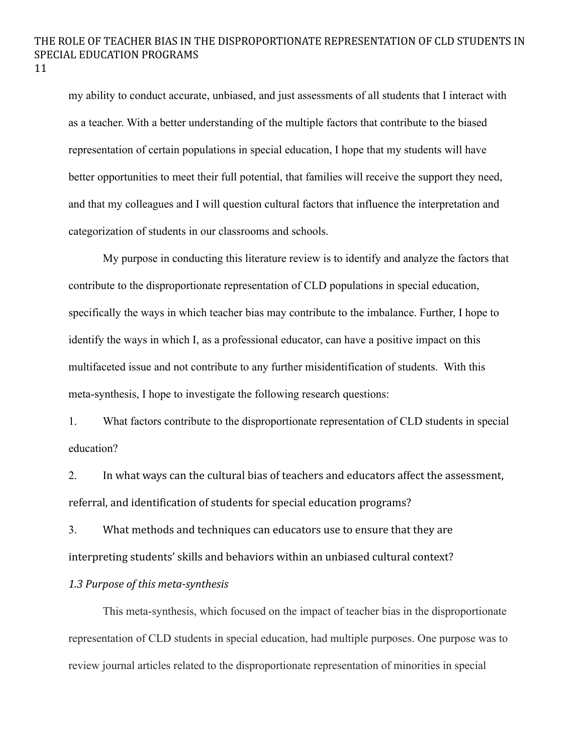my ability to conduct accurate, unbiased, and just assessments of all students that I interact with as a teacher. With a better understanding of the multiple factors that contribute to the biased representation of certain populations in special education, I hope that my students will have better opportunities to meet their full potential, that families will receive the support they need, and that my colleagues and I will question cultural factors that influence the interpretation and categorization of students in our classrooms and schools.

My purpose in conducting this literature review is to identify and analyze the factors that contribute to the disproportionate representation of CLD populations in special education, specifically the ways in which teacher bias may contribute to the imbalance. Further, I hope to identify the ways in which I, as a professional educator, can have a positive impact on this multifaceted issue and not contribute to any further misidentification of students. With this meta-synthesis, I hope to investigate the following research questions:

1. What factors contribute to the disproportionate representation of CLD students in special education?

2. In what ways can the cultural bias of teachers and educators affect the assessment, referral, and identification of students for special education programs?

3. What methods and techniques can educators use to ensure that they are interpreting students' skills and behaviors within an unbiased cultural context?

### *1.3 Purpose of this meta-synthesis*

This meta-synthesis, which focused on the impact of teacher bias in the disproportionate representation of CLD students in special education, had multiple purposes. One purpose was to review journal articles related to the disproportionate representation of minorities in special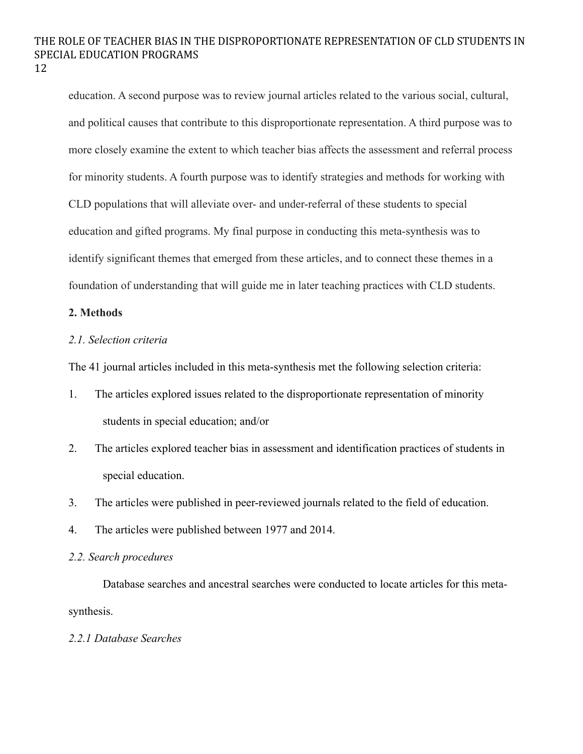education. A second purpose was to review journal articles related to the various social, cultural, and political causes that contribute to this disproportionate representation. A third purpose was to more closely examine the extent to which teacher bias affects the assessment and referral process for minority students. A fourth purpose was to identify strategies and methods for working with CLD populations that will alleviate over- and under-referral of these students to special education and gifted programs. My final purpose in conducting this meta-synthesis was to identify significant themes that emerged from these articles, and to connect these themes in a foundation of understanding that will guide me in later teaching practices with CLD students.

### **2. Methods**

## *2.1. Selection criteria*

The 41 journal articles included in this meta-synthesis met the following selection criteria:

- 1. The articles explored issues related to the disproportionate representation of minority students in special education; and/or
- 2. The articles explored teacher bias in assessment and identification practices of students in special education.
- 3. The articles were published in peer-reviewed journals related to the field of education.
- 4. The articles were published between 1977 and 2014.

### *2.2. Search procedures*

Database searches and ancestral searches were conducted to locate articles for this metasynthesis.

### *2.2.1 Database Searches*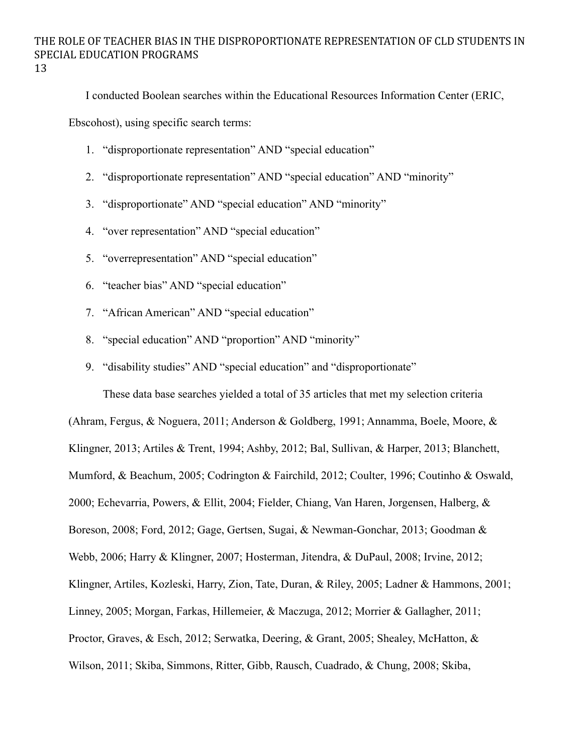I conducted Boolean searches within the Educational Resources Information Center (ERIC,

Ebscohost), using specific search terms:

- 1. "disproportionate representation" AND "special education"
- 2. "disproportionate representation" AND "special education" AND "minority"
- 3. "disproportionate" AND "special education" AND "minority"
- 4. "over representation" AND "special education"
- 5. "overrepresentation" AND "special education"
- 6. "teacher bias" AND "special education"
- 7. "African American" AND "special education"
- 8. "special education" AND "proportion" AND "minority"
- 9. "disability studies" AND "special education" and "disproportionate"

These data base searches yielded a total of 35 articles that met my selection criteria

(Ahram, Fergus, & Noguera, 2011; Anderson & Goldberg, 1991; Annamma, Boele, Moore, & Klingner, 2013; Artiles & Trent, 1994; Ashby, 2012; Bal, Sullivan, & Harper, 2013; Blanchett, Mumford, & Beachum, 2005; Codrington & Fairchild, 2012; Coulter, 1996; Coutinho & Oswald, 2000; Echevarria, Powers, & Ellit, 2004; Fielder, Chiang, Van Haren, Jorgensen, Halberg, & Boreson, 2008; Ford, 2012; Gage, Gertsen, Sugai, & Newman-Gonchar, 2013; Goodman & Webb, 2006; Harry & Klingner, 2007; Hosterman, Jitendra, & DuPaul, 2008; Irvine, 2012; Klingner, Artiles, Kozleski, Harry, Zion, Tate, Duran, & Riley, 2005; Ladner & Hammons, 2001; Linney, 2005; Morgan, Farkas, Hillemeier, & Maczuga, 2012; Morrier & Gallagher, 2011; Proctor, Graves, & Esch, 2012; Serwatka, Deering, & Grant, 2005; Shealey, McHatton, & Wilson, 2011; Skiba, Simmons, Ritter, Gibb, Rausch, Cuadrado, & Chung, 2008; Skiba,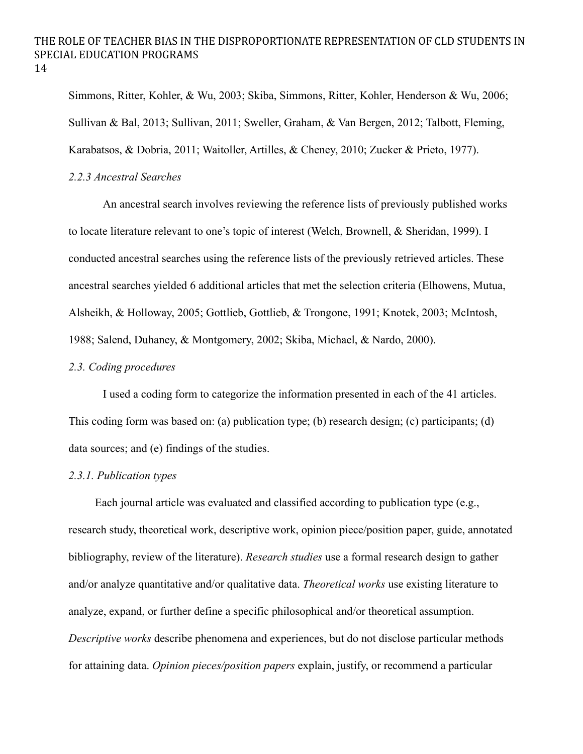Simmons, Ritter, Kohler, & Wu, 2003; Skiba, Simmons, Ritter, Kohler, Henderson & Wu, 2006; Sullivan & Bal, 2013; Sullivan, 2011; Sweller, Graham, & Van Bergen, 2012; Talbott, Fleming, Karabatsos, & Dobria, 2011; Waitoller, Artilles, & Cheney, 2010; Zucker & Prieto, 1977).

#### *2.2.3 Ancestral Searches*

An ancestral search involves reviewing the reference lists of previously published works to locate literature relevant to one's topic of interest (Welch, Brownell, & Sheridan, 1999). I conducted ancestral searches using the reference lists of the previously retrieved articles. These ancestral searches yielded 6 additional articles that met the selection criteria (Elhowens, Mutua, Alsheikh, & Holloway, 2005; Gottlieb, Gottlieb, & Trongone, 1991; Knotek, 2003; McIntosh, 1988; Salend, Duhaney, & Montgomery, 2002; Skiba, Michael, & Nardo, 2000).

## *2.3. Coding procedures*

I used a coding form to categorize the information presented in each of the 41 articles. This coding form was based on: (a) publication type; (b) research design; (c) participants; (d) data sources; and (e) findings of the studies.

### *2.3.1. Publication types*

Each journal article was evaluated and classified according to publication type (e.g., research study, theoretical work, descriptive work, opinion piece/position paper, guide, annotated bibliography, review of the literature). *Research studies* use a formal research design to gather and/or analyze quantitative and/or qualitative data. *Theoretical works* use existing literature to analyze, expand, or further define a specific philosophical and/or theoretical assumption. *Descriptive works* describe phenomena and experiences, but do not disclose particular methods for attaining data. *Opinion pieces/position papers* explain, justify, or recommend a particular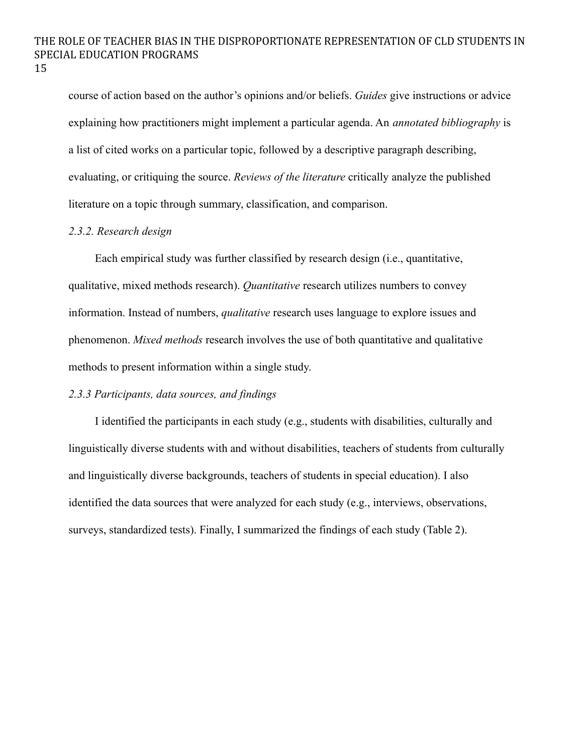course of action based on the author's opinions and/or beliefs. *Guides* give instructions or advice explaining how practitioners might implement a particular agenda. An *annotated bibliography* is a list of cited works on a particular topic, followed by a descriptive paragraph describing, evaluating, or critiquing the source. *Reviews of the literature* critically analyze the published literature on a topic through summary, classification, and comparison.

### *2.3.2. Research design*

Each empirical study was further classified by research design (i.e., quantitative, qualitative, mixed methods research). *Quantitative* research utilizes numbers to convey information. Instead of numbers, *qualitative* research uses language to explore issues and phenomenon. *Mixed methods* research involves the use of both quantitative and qualitative methods to present information within a single study.

## *2.3.3 Participants, data sources, and findings*

I identified the participants in each study (e.g., students with disabilities, culturally and linguistically diverse students with and without disabilities, teachers of students from culturally and linguistically diverse backgrounds, teachers of students in special education). I also identified the data sources that were analyzed for each study (e.g., interviews, observations, surveys, standardized tests). Finally, I summarized the findings of each study (Table 2).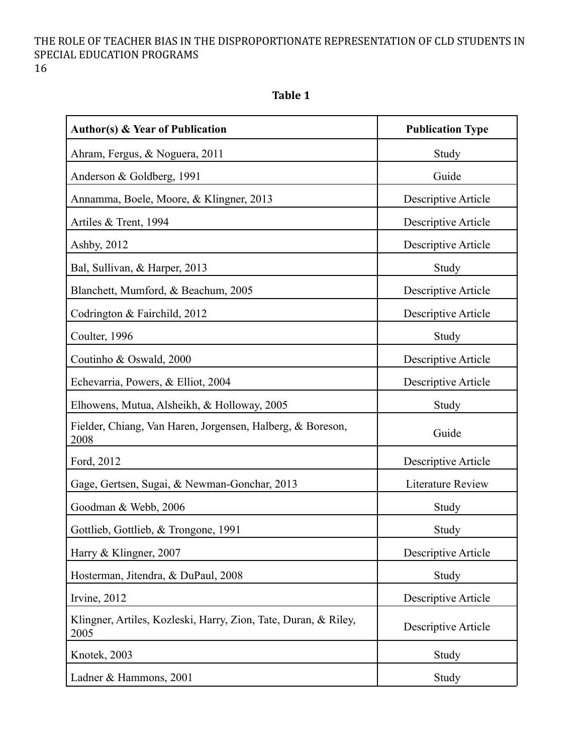**Table 1**

| <b>Author(s) &amp; Year of Publication</b>                              | <b>Publication Type</b> |
|-------------------------------------------------------------------------|-------------------------|
| Ahram, Fergus, & Noguera, 2011                                          | Study                   |
| Anderson & Goldberg, 1991                                               | Guide                   |
| Annamma, Boele, Moore, & Klingner, 2013                                 | Descriptive Article     |
| Artiles & Trent, 1994                                                   | Descriptive Article     |
| Ashby, 2012                                                             | Descriptive Article     |
| Bal, Sullivan, & Harper, 2013                                           | Study                   |
| Blanchett, Mumford, & Beachum, 2005                                     | Descriptive Article     |
| Codrington & Fairchild, 2012                                            | Descriptive Article     |
| Coulter, 1996                                                           | Study                   |
| Coutinho & Oswald, 2000                                                 | Descriptive Article     |
| Echevarria, Powers, & Elliot, 2004                                      | Descriptive Article     |
| Elhowens, Mutua, Alsheikh, & Holloway, 2005                             | Study                   |
| Fielder, Chiang, Van Haren, Jorgensen, Halberg, & Boreson,<br>2008      | Guide                   |
| Ford, 2012                                                              | Descriptive Article     |
| Gage, Gertsen, Sugai, & Newman-Gonchar, 2013                            | Literature Review       |
| Goodman & Webb, 2006                                                    | Study                   |
| Gottlieb, Gottlieb, & Trongone, 1991                                    | Study                   |
| Harry & Klingner, 2007                                                  | Descriptive Article     |
| Hosterman, Jitendra, & DuPaul, 2008                                     | Study                   |
| Irvine, 2012                                                            | Descriptive Article     |
| Klingner, Artiles, Kozleski, Harry, Zion, Tate, Duran, & Riley,<br>2005 | Descriptive Article     |
| Knotek, 2003                                                            | Study                   |
| Ladner & Hammons, 2001                                                  | Study                   |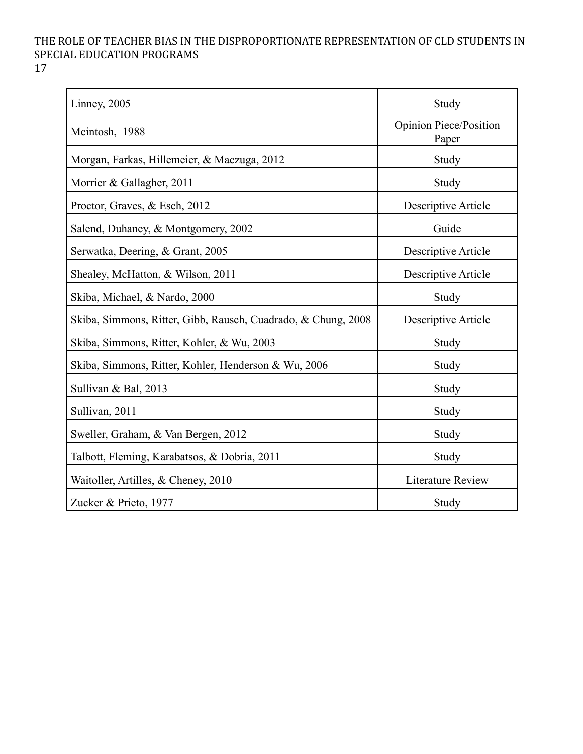17

| Linney, 2005                                                  | Study                                  |
|---------------------------------------------------------------|----------------------------------------|
| Mcintosh, 1988                                                | <b>Opinion Piece/Position</b><br>Paper |
| Morgan, Farkas, Hillemeier, & Maczuga, 2012                   | Study                                  |
| Morrier & Gallagher, 2011                                     | Study                                  |
| Proctor, Graves, & Esch, 2012                                 | Descriptive Article                    |
| Salend, Duhaney, & Montgomery, 2002                           | Guide                                  |
| Serwatka, Deering, & Grant, 2005                              | Descriptive Article                    |
| Shealey, McHatton, & Wilson, 2011                             | Descriptive Article                    |
| Skiba, Michael, & Nardo, 2000                                 | Study                                  |
| Skiba, Simmons, Ritter, Gibb, Rausch, Cuadrado, & Chung, 2008 | Descriptive Article                    |
| Skiba, Simmons, Ritter, Kohler, & Wu, 2003                    | Study                                  |
| Skiba, Simmons, Ritter, Kohler, Henderson & Wu, 2006          | Study                                  |
| Sullivan & Bal, 2013                                          | Study                                  |
| Sullivan, 2011                                                | Study                                  |
| Sweller, Graham, & Van Bergen, 2012                           | Study                                  |
| Talbott, Fleming, Karabatsos, & Dobria, 2011                  | Study                                  |
| Waitoller, Artilles, & Cheney, 2010                           | Literature Review                      |
| Zucker & Prieto, 1977                                         | Study                                  |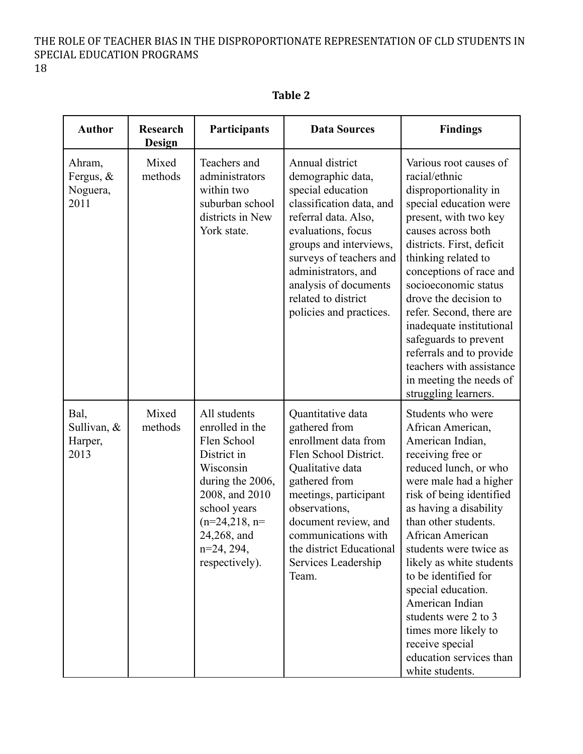18

| <b>Author</b>                           | <b>Research</b><br>Design | Participants                                                                                                                                                                                         | <b>Data Sources</b>                                                                                                                                                                                                                                                                        | <b>Findings</b>                                                                                                                                                                                                                                                                                                                                                                                                                                                              |
|-----------------------------------------|---------------------------|------------------------------------------------------------------------------------------------------------------------------------------------------------------------------------------------------|--------------------------------------------------------------------------------------------------------------------------------------------------------------------------------------------------------------------------------------------------------------------------------------------|------------------------------------------------------------------------------------------------------------------------------------------------------------------------------------------------------------------------------------------------------------------------------------------------------------------------------------------------------------------------------------------------------------------------------------------------------------------------------|
| Ahram,<br>Fergus, &<br>Noguera,<br>2011 | Mixed<br>methods          | Teachers and<br>administrators<br>within two<br>suburban school<br>districts in New<br>York state.                                                                                                   | Annual district<br>demographic data,<br>special education<br>classification data, and<br>referral data. Also,<br>evaluations, focus<br>groups and interviews,<br>surveys of teachers and<br>administrators, and<br>analysis of documents<br>related to district<br>policies and practices. | Various root causes of<br>racial/ethnic<br>disproportionality in<br>special education were<br>present, with two key<br>causes across both<br>districts. First, deficit<br>thinking related to<br>conceptions of race and<br>socioeconomic status<br>drove the decision to<br>refer. Second, there are<br>inadequate institutional<br>safeguards to prevent<br>referrals and to provide<br>teachers with assistance<br>in meeting the needs of<br>struggling learners.        |
| Bal,<br>Sullivan, &<br>Harper,<br>2013  | Mixed<br>methods          | All students<br>enrolled in the<br>Flen School<br>District in<br>Wisconsin<br>during the 2006,<br>2008, and 2010<br>school years<br>$(n=24,218, n=$<br>24,268, and<br>$n=24, 294,$<br>respectively). | Quantitative data<br>gathered from<br>enrollment data from<br>Flen School District.<br>Qualitative data<br>gathered from<br>meetings, participant<br>observations,<br>document review, and<br>communications with<br>the district Educational<br>Services Leadership<br>Team.              | Students who were<br>African American,<br>American Indian,<br>receiving free or<br>reduced lunch, or who<br>were male had a higher<br>risk of being identified<br>as having a disability<br>than other students.<br>African American<br>students were twice as<br>likely as white students<br>to be identified for<br>special education.<br>American Indian<br>students were 2 to 3<br>times more likely to<br>receive special<br>education services than<br>white students. |

**Table 2**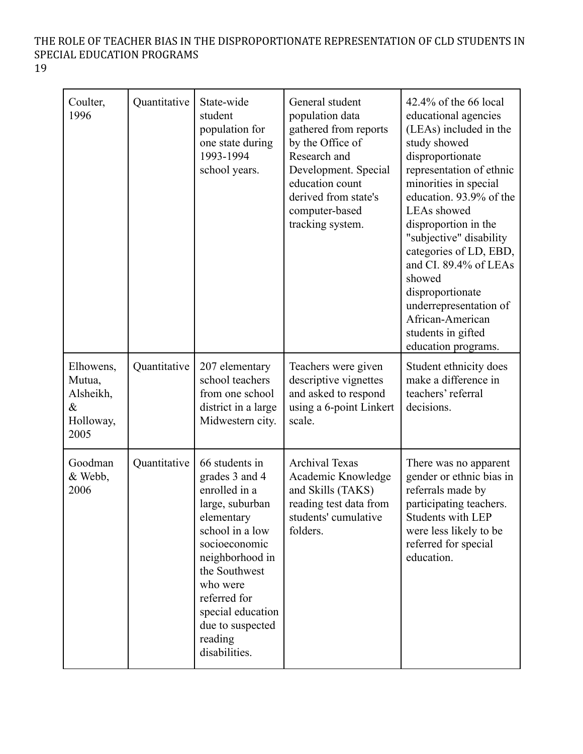| ٧ | ٠       |
|---|---------|
|   | ×<br>۰. |

| Coulter,<br>1996                                              | Quantitative | State-wide<br>student<br>population for<br>one state during<br>1993-1994<br>school years.                                                                                                                                                                   | General student<br>population data<br>gathered from reports<br>by the Office of<br>Research and<br>Development. Special<br>education count<br>derived from state's<br>computer-based<br>tracking system. | $42.4\%$ of the 66 local<br>educational agencies<br>(LEAs) included in the<br>study showed<br>disproportionate<br>representation of ethnic<br>minorities in special<br>education. 93.9% of the<br><b>LEAs</b> showed<br>disproportion in the<br>"subjective" disability<br>categories of LD, EBD,<br>and CI. 89.4% of LEAs<br>showed<br>disproportionate<br>underrepresentation of<br>African-American<br>students in gifted<br>education programs. |
|---------------------------------------------------------------|--------------|-------------------------------------------------------------------------------------------------------------------------------------------------------------------------------------------------------------------------------------------------------------|----------------------------------------------------------------------------------------------------------------------------------------------------------------------------------------------------------|-----------------------------------------------------------------------------------------------------------------------------------------------------------------------------------------------------------------------------------------------------------------------------------------------------------------------------------------------------------------------------------------------------------------------------------------------------|
| Elhowens,<br>Mutua,<br>Alsheikh,<br>$\&$<br>Holloway,<br>2005 | Quantitative | 207 elementary<br>school teachers<br>from one school<br>district in a large<br>Midwestern city.                                                                                                                                                             | Teachers were given<br>descriptive vignettes<br>and asked to respond<br>using a 6-point Linkert<br>scale.                                                                                                | Student ethnicity does<br>make a difference in<br>teachers' referral<br>decisions.                                                                                                                                                                                                                                                                                                                                                                  |
| Goodman<br>& Webb,<br>2006                                    | Quantitative | 66 students in<br>grades 3 and 4<br>enrolled in a<br>large, suburban<br>elementary<br>school in a low<br>socioeconomic<br>neighborhood in<br>the Southwest<br>who were<br>referred for<br>special education<br>due to suspected<br>reading<br>disabilities. | <b>Archival Texas</b><br>Academic Knowledge<br>and Skills (TAKS)<br>reading test data from<br>students' cumulative<br>folders.                                                                           | There was no apparent<br>gender or ethnic bias in<br>referrals made by<br>participating teachers.<br><b>Students with LEP</b><br>were less likely to be<br>referred for special<br>education.                                                                                                                                                                                                                                                       |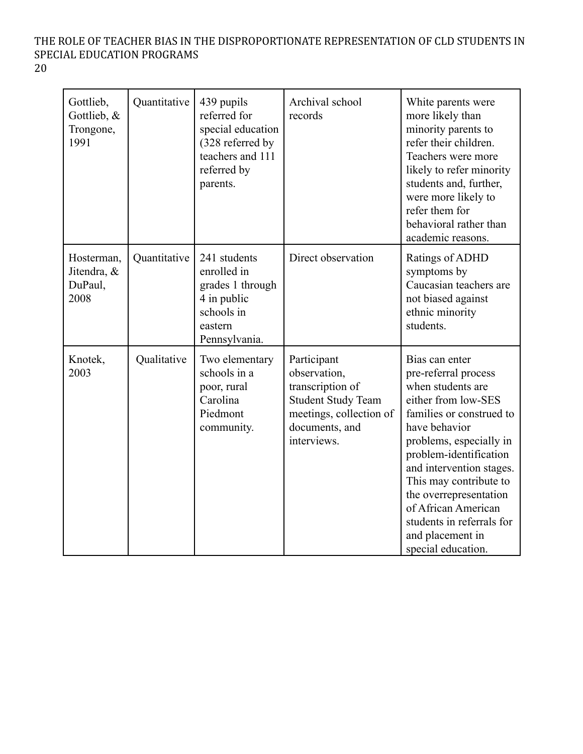| Gottlieb,<br>Gottlieb, &<br>Trongone,<br>1991 | Quantitative | 439 pupils<br>referred for<br>special education<br>(328 referred by<br>teachers and 111<br>referred by<br>parents. | Archival school<br>records                                                                                                               | White parents were<br>more likely than<br>minority parents to<br>refer their children.<br>Teachers were more<br>likely to refer minority<br>students and, further,<br>were more likely to<br>refer them for<br>behavioral rather than<br>academic reasons.                                                                                                         |
|-----------------------------------------------|--------------|--------------------------------------------------------------------------------------------------------------------|------------------------------------------------------------------------------------------------------------------------------------------|--------------------------------------------------------------------------------------------------------------------------------------------------------------------------------------------------------------------------------------------------------------------------------------------------------------------------------------------------------------------|
| Hosterman,<br>Jitendra, &<br>DuPaul,<br>2008  | Quantitative | 241 students<br>enrolled in<br>grades 1 through<br>4 in public<br>schools in<br>eastern<br>Pennsylvania.           | Direct observation                                                                                                                       | Ratings of ADHD<br>symptoms by<br>Caucasian teachers are<br>not biased against<br>ethnic minority<br>students.                                                                                                                                                                                                                                                     |
| Knotek,<br>2003                               | Qualitative  | Two elementary<br>schools in a<br>poor, rural<br>Carolina<br>Piedmont<br>community.                                | Participant<br>observation,<br>transcription of<br><b>Student Study Team</b><br>meetings, collection of<br>documents, and<br>interviews. | Bias can enter<br>pre-referral process<br>when students are<br>either from low-SES<br>families or construed to<br>have behavior<br>problems, especially in<br>problem-identification<br>and intervention stages.<br>This may contribute to<br>the overrepresentation<br>of African American<br>students in referrals for<br>and placement in<br>special education. |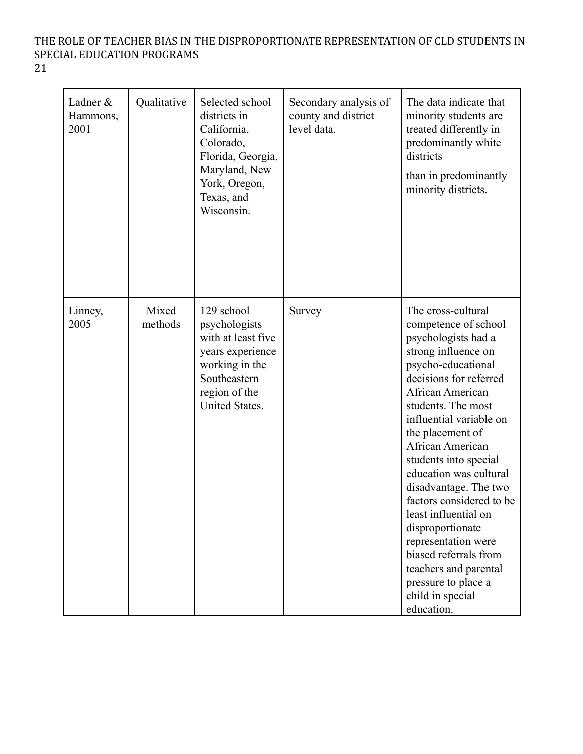21

| Ladner &<br>Hammons,<br>2001 | Qualitative      | Selected school<br>districts in<br>California,<br>Colorado,<br>Florida, Georgia,<br>Maryland, New<br>York, Oregon,<br>Texas, and<br>Wisconsin. | Secondary analysis of<br>county and district<br>level data. | The data indicate that<br>minority students are<br>treated differently in<br>predominantly white<br>districts<br>than in predominantly<br>minority districts.                                                                                                                                                                                                                                                                                                                                                                               |
|------------------------------|------------------|------------------------------------------------------------------------------------------------------------------------------------------------|-------------------------------------------------------------|---------------------------------------------------------------------------------------------------------------------------------------------------------------------------------------------------------------------------------------------------------------------------------------------------------------------------------------------------------------------------------------------------------------------------------------------------------------------------------------------------------------------------------------------|
| Linney,<br>2005              | Mixed<br>methods | 129 school<br>psychologists<br>with at least five<br>years experience<br>working in the<br>Southeastern<br>region of the<br>United States.     | Survey                                                      | The cross-cultural<br>competence of school<br>psychologists had a<br>strong influence on<br>psycho-educational<br>decisions for referred<br>African American<br>students. The most<br>influential variable on<br>the placement of<br>African American<br>students into special<br>education was cultural<br>disadvantage. The two<br>factors considered to be<br>least influential on<br>disproportionate<br>representation were<br>biased referrals from<br>teachers and parental<br>pressure to place a<br>child in special<br>education. |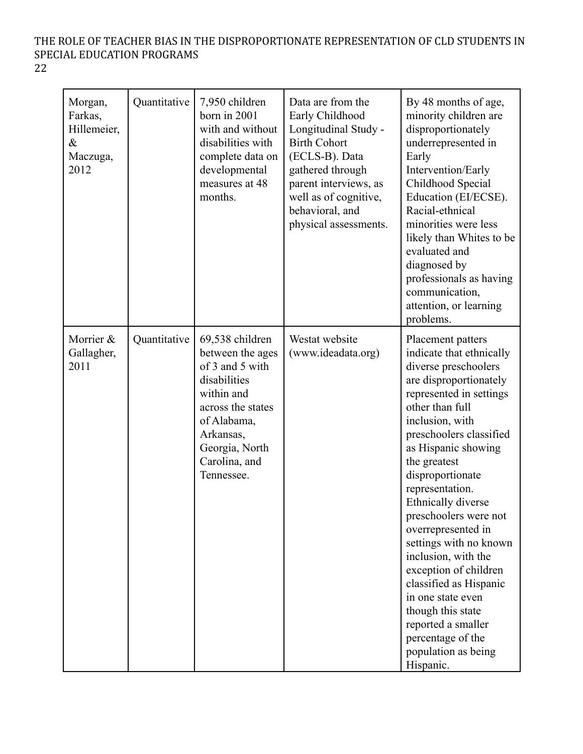| Morgan,<br>Farkas,<br>Hillemeier,<br>$\&$<br>Maczuga,<br>2012 | Quantitative | 7,950 children<br>born in 2001<br>with and without<br>disabilities with<br>complete data on<br>developmental<br>measures at 48<br>months.                                              | Data are from the<br>Early Childhood<br>Longitudinal Study -<br><b>Birth Cohort</b><br>(ECLS-B). Data<br>gathered through<br>parent interviews, as<br>well as of cognitive,<br>behavioral, and<br>physical assessments. | By 48 months of age,<br>minority children are<br>disproportionately<br>underrepresented in<br>Early<br>Intervention/Early<br>Childhood Special<br>Education (EI/ECSE).<br>Racial-ethnical<br>minorities were less<br>likely than Whites to be<br>evaluated and<br>diagnosed by<br>professionals as having<br>communication,<br>attention, or learning<br>problems.                                                                                                                                                                                                          |
|---------------------------------------------------------------|--------------|----------------------------------------------------------------------------------------------------------------------------------------------------------------------------------------|-------------------------------------------------------------------------------------------------------------------------------------------------------------------------------------------------------------------------|-----------------------------------------------------------------------------------------------------------------------------------------------------------------------------------------------------------------------------------------------------------------------------------------------------------------------------------------------------------------------------------------------------------------------------------------------------------------------------------------------------------------------------------------------------------------------------|
| Morrier &<br>Gallagher,<br>2011                               | Quantitative | 69,538 children<br>between the ages<br>of 3 and 5 with<br>disabilities<br>within and<br>across the states<br>of Alabama,<br>Arkansas,<br>Georgia, North<br>Carolina, and<br>Tennessee. | Westat website<br>(www.ideadata.org)                                                                                                                                                                                    | Placement patters<br>indicate that ethnically<br>diverse preschoolers<br>are disproportionately<br>represented in settings<br>other than full<br>inclusion, with<br>preschoolers classified<br>as Hispanic showing<br>the greatest<br>disproportionate<br>representation.<br>Ethnically diverse<br>preschoolers were not<br>overrepresented in<br>settings with no known<br>inclusion, with the<br>exception of children<br>classified as Hispanic<br>in one state even<br>though this state<br>reported a smaller<br>percentage of the<br>population as being<br>Hispanic. |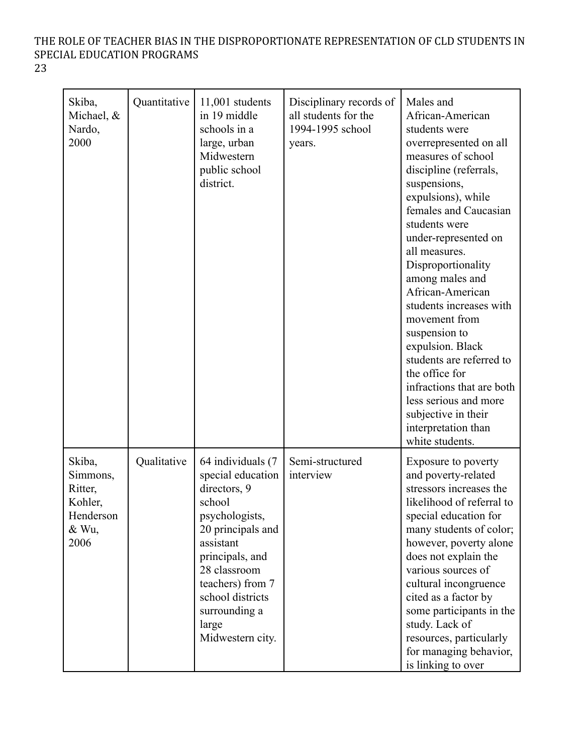| ۰.<br>v<br>., |
|---------------|

| Skiba,<br>Michael, &<br>Nardo,<br>2000                                 | Quantitative | $11,001$ students<br>in 19 middle<br>schools in a<br>large, urban<br>Midwestern<br>public school<br>district.                                                                                                                                 | Disciplinary records of<br>all students for the<br>1994-1995 school<br>years. | Males and<br>African-American<br>students were<br>overrepresented on all<br>measures of school<br>discipline (referrals,<br>suspensions,<br>expulsions), while<br>females and Caucasian<br>students were<br>under-represented on<br>all measures.<br>Disproportionality<br>among males and<br>African-American<br>students increases with<br>movement from<br>suspension to<br>expulsion. Black<br>students are referred to<br>the office for<br>infractions that are both<br>less serious and more<br>subjective in their<br>interpretation than<br>white students. |
|------------------------------------------------------------------------|--------------|-----------------------------------------------------------------------------------------------------------------------------------------------------------------------------------------------------------------------------------------------|-------------------------------------------------------------------------------|----------------------------------------------------------------------------------------------------------------------------------------------------------------------------------------------------------------------------------------------------------------------------------------------------------------------------------------------------------------------------------------------------------------------------------------------------------------------------------------------------------------------------------------------------------------------|
| Skiba,<br>Simmons,<br>Ritter,<br>Kohler,<br>Henderson<br>& Wu,<br>2006 | Qualitative  | 64 individuals (7<br>special education<br>directors, 9<br>school<br>psychologists,<br>20 principals and<br>assistant<br>principals, and<br>28 classroom<br>teachers) from 7<br>school districts<br>surrounding a<br>large<br>Midwestern city. | Semi-structured<br>interview                                                  | Exposure to poverty<br>and poverty-related<br>stressors increases the<br>likelihood of referral to<br>special education for<br>many students of color;<br>however, poverty alone<br>does not explain the<br>various sources of<br>cultural incongruence<br>cited as a factor by<br>some participants in the<br>study. Lack of<br>resources, particularly<br>for managing behavior,<br>is linking to over                                                                                                                                                             |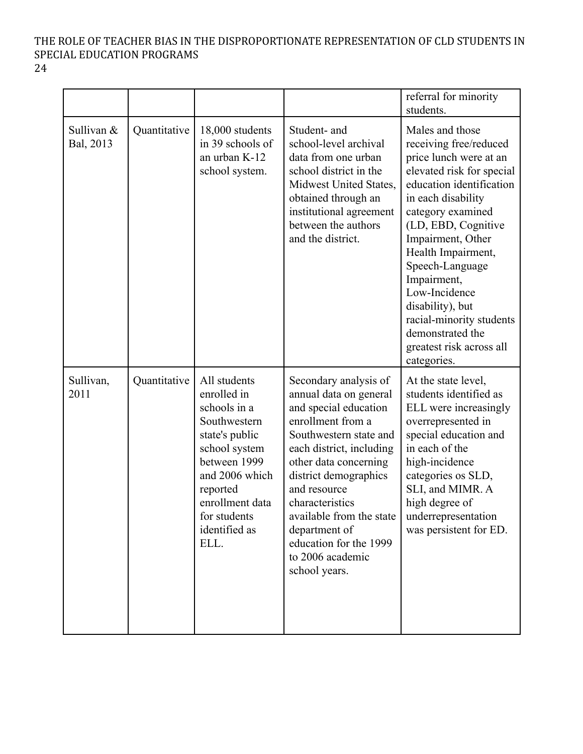24

|                         |              |                                                                                                                                                                                                          |                                                                                                                                                                                                                                                                                                                                                      | referral for minority<br>students.                                                                                                                                                                                                                                                                                                                                                                          |
|-------------------------|--------------|----------------------------------------------------------------------------------------------------------------------------------------------------------------------------------------------------------|------------------------------------------------------------------------------------------------------------------------------------------------------------------------------------------------------------------------------------------------------------------------------------------------------------------------------------------------------|-------------------------------------------------------------------------------------------------------------------------------------------------------------------------------------------------------------------------------------------------------------------------------------------------------------------------------------------------------------------------------------------------------------|
| Sullivan &<br>Bal, 2013 | Quantitative | 18,000 students<br>in 39 schools of<br>an urban K-12<br>school system.                                                                                                                                   | Student- and<br>school-level archival<br>data from one urban<br>school district in the<br>Midwest United States,<br>obtained through an<br>institutional agreement<br>between the authors<br>and the district.                                                                                                                                       | Males and those<br>receiving free/reduced<br>price lunch were at an<br>elevated risk for special<br>education identification<br>in each disability<br>category examined<br>(LD, EBD, Cognitive<br>Impairment, Other<br>Health Impairment,<br>Speech-Language<br>Impairment,<br>Low-Incidence<br>disability), but<br>racial-minority students<br>demonstrated the<br>greatest risk across all<br>categories. |
| Sullivan,<br>2011       | Quantitative | All students<br>enrolled in<br>schools in a<br>Southwestern<br>state's public<br>school system<br>between 1999<br>and 2006 which<br>reported<br>enrollment data<br>for students<br>identified as<br>ELL. | Secondary analysis of<br>annual data on general<br>and special education<br>enrollment from a<br>Southwestern state and<br>each district, including<br>other data concerning<br>district demographics<br>and resource<br>characteristics<br>available from the state<br>department of<br>education for the 1999<br>to 2006 academic<br>school years. | At the state level,<br>students identified as<br>ELL were increasingly<br>overrepresented in<br>special education and<br>in each of the<br>high-incidence<br>categories os SLD,<br>SLI, and MIMR. A<br>high degree of<br>underrepresentation<br>was persistent for ED.                                                                                                                                      |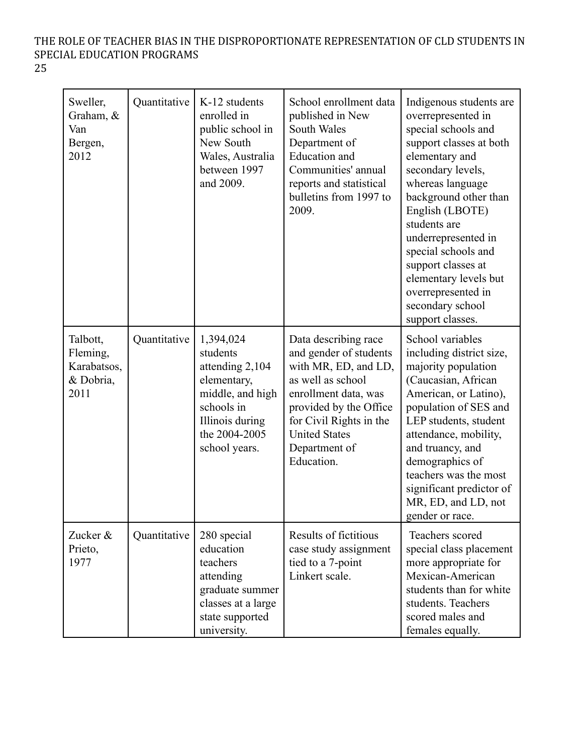| v  |         |
|----|---------|
| ۰. | ۰.<br>v |

| Sweller,<br>Graham, &<br>Van<br>Bergen,<br>2012          | Quantitative | K-12 students<br>enrolled in<br>public school in<br>New South<br>Wales, Australia<br>between 1997<br>and 2009.                                 | School enrollment data<br>published in New<br>South Wales<br>Department of<br><b>Education</b> and<br>Communities' annual<br>reports and statistical<br>bulletins from 1997 to<br>2009.                                         | Indigenous students are<br>overrepresented in<br>special schools and<br>support classes at both<br>elementary and<br>secondary levels,<br>whereas language<br>background other than<br>English (LBOTE)<br>students are<br>underrepresented in<br>special schools and<br>support classes at<br>elementary levels but<br>overrepresented in<br>secondary school<br>support classes. |
|----------------------------------------------------------|--------------|------------------------------------------------------------------------------------------------------------------------------------------------|---------------------------------------------------------------------------------------------------------------------------------------------------------------------------------------------------------------------------------|-----------------------------------------------------------------------------------------------------------------------------------------------------------------------------------------------------------------------------------------------------------------------------------------------------------------------------------------------------------------------------------|
| Talbott,<br>Fleming,<br>Karabatsos,<br>& Dobria,<br>2011 | Quantitative | 1,394,024<br>students<br>attending 2,104<br>elementary,<br>middle, and high<br>schools in<br>Illinois during<br>the 2004-2005<br>school years. | Data describing race<br>and gender of students<br>with MR, ED, and LD,<br>as well as school<br>enrollment data, was<br>provided by the Office<br>for Civil Rights in the<br><b>United States</b><br>Department of<br>Education. | School variables<br>including district size,<br>majority population<br>(Caucasian, African<br>American, or Latino),<br>population of SES and<br>LEP students, student<br>attendance, mobility,<br>and truancy, and<br>demographics of<br>teachers was the most<br>significant predictor of<br>MR, ED, and LD, not<br>gender or race.                                              |
| Zucker &<br>Prieto,<br>1977                              | Quantitative | 280 special<br>education<br>teachers<br>attending<br>graduate summer<br>classes at a large<br>state supported<br>university.                   | Results of fictitious<br>case study assignment<br>tied to a 7-point<br>Linkert scale.                                                                                                                                           | Teachers scored<br>special class placement<br>more appropriate for<br>Mexican-American<br>students than for white<br>students. Teachers<br>scored males and<br>females equally.                                                                                                                                                                                                   |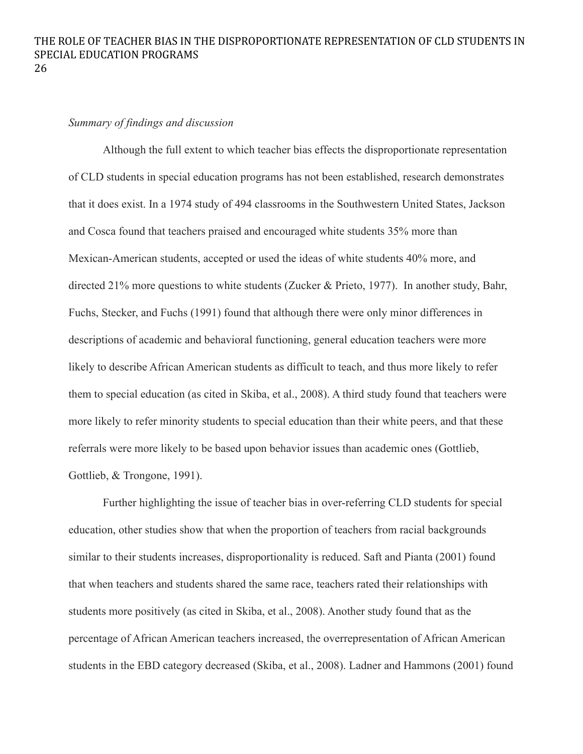### *Summary of findings and discussion*

Although the full extent to which teacher bias effects the disproportionate representation of CLD students in special education programs has not been established, research demonstrates that it does exist. In a 1974 study of 494 classrooms in the Southwestern United States, Jackson and Cosca found that teachers praised and encouraged white students 35% more than Mexican-American students, accepted or used the ideas of white students 40% more, and directed 21% more questions to white students (Zucker & Prieto, 1977). In another study, Bahr, Fuchs, Stecker, and Fuchs (1991) found that although there were only minor differences in descriptions of academic and behavioral functioning, general education teachers were more likely to describe African American students as difficult to teach, and thus more likely to refer them to special education (as cited in Skiba, et al., 2008). A third study found that teachers were more likely to refer minority students to special education than their white peers, and that these referrals were more likely to be based upon behavior issues than academic ones (Gottlieb, Gottlieb, & Trongone, 1991).

Further highlighting the issue of teacher bias in over-referring CLD students for special education, other studies show that when the proportion of teachers from racial backgrounds similar to their students increases, disproportionality is reduced. Saft and Pianta (2001) found that when teachers and students shared the same race, teachers rated their relationships with students more positively (as cited in Skiba, et al., 2008). Another study found that as the percentage of African American teachers increased, the overrepresentation of African American students in the EBD category decreased (Skiba, et al., 2008). Ladner and Hammons (2001) found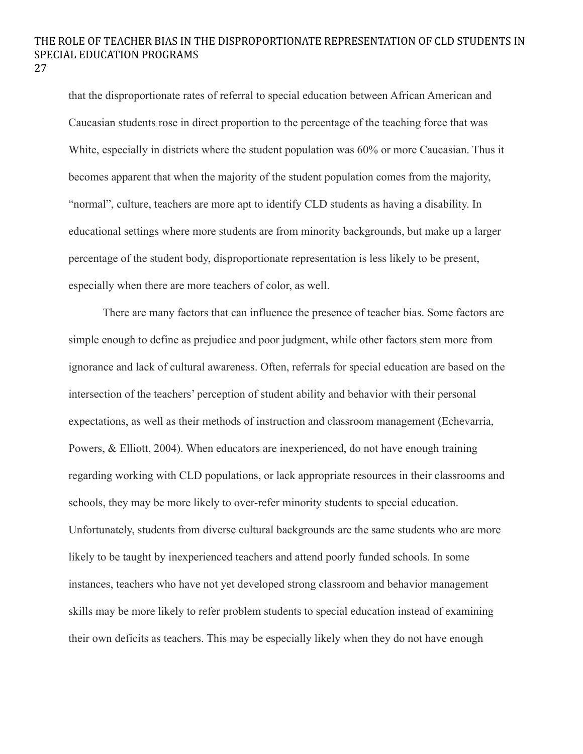that the disproportionate rates of referral to special education between African American and Caucasian students rose in direct proportion to the percentage of the teaching force that was White, especially in districts where the student population was 60% or more Caucasian. Thus it becomes apparent that when the majority of the student population comes from the majority, "normal", culture, teachers are more apt to identify CLD students as having a disability. In educational settings where more students are from minority backgrounds, but make up a larger percentage of the student body, disproportionate representation is less likely to be present, especially when there are more teachers of color, as well.

There are many factors that can influence the presence of teacher bias. Some factors are simple enough to define as prejudice and poor judgment, while other factors stem more from ignorance and lack of cultural awareness. Often, referrals for special education are based on the intersection of the teachers' perception of student ability and behavior with their personal expectations, as well as their methods of instruction and classroom management (Echevarria, Powers, & Elliott, 2004). When educators are inexperienced, do not have enough training regarding working with CLD populations, or lack appropriate resources in their classrooms and schools, they may be more likely to over-refer minority students to special education. Unfortunately, students from diverse cultural backgrounds are the same students who are more likely to be taught by inexperienced teachers and attend poorly funded schools. In some instances, teachers who have not yet developed strong classroom and behavior management skills may be more likely to refer problem students to special education instead of examining their own deficits as teachers. This may be especially likely when they do not have enough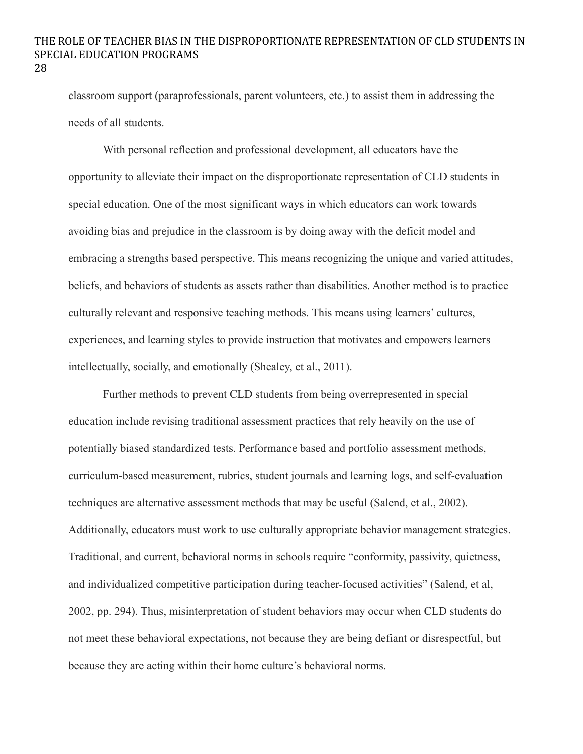classroom support (paraprofessionals, parent volunteers, etc.) to assist them in addressing the needs of all students.

With personal reflection and professional development, all educators have the opportunity to alleviate their impact on the disproportionate representation of CLD students in special education. One of the most significant ways in which educators can work towards avoiding bias and prejudice in the classroom is by doing away with the deficit model and embracing a strengths based perspective. This means recognizing the unique and varied attitudes, beliefs, and behaviors of students as assets rather than disabilities. Another method is to practice culturally relevant and responsive teaching methods. This means using learners' cultures, experiences, and learning styles to provide instruction that motivates and empowers learners intellectually, socially, and emotionally (Shealey, et al., 2011).

Further methods to prevent CLD students from being overrepresented in special education include revising traditional assessment practices that rely heavily on the use of potentially biased standardized tests. Performance based and portfolio assessment methods, curriculum-based measurement, rubrics, student journals and learning logs, and self-evaluation techniques are alternative assessment methods that may be useful (Salend, et al., 2002). Additionally, educators must work to use culturally appropriate behavior management strategies. Traditional, and current, behavioral norms in schools require "conformity, passivity, quietness, and individualized competitive participation during teacher-focused activities" (Salend, et al, 2002, pp. 294). Thus, misinterpretation of student behaviors may occur when CLD students do not meet these behavioral expectations, not because they are being defiant or disrespectful, but because they are acting within their home culture's behavioral norms.